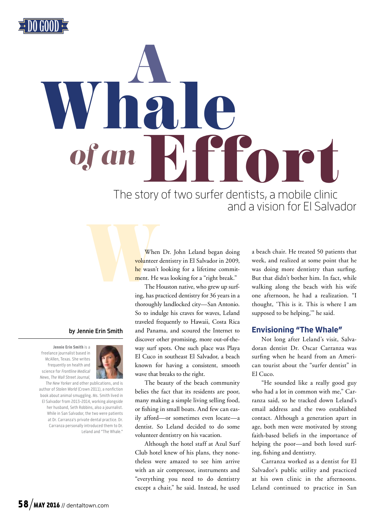

Whale *of an* A IN **Effort OF COLOR**<br>The story of two surfer dentists, a mobile clinic and a vision for El Salvador

#### by Jennie Erin Smith



McAllen, Texas. She writes frequently on health and science for *Frontline Medical News*, *The Wall Street Journal,* 

*The New Yorker* and other publications, and is author of *Stolen World* (Crown 2011), a nonfiction book about animal smuggling. Ms. Smith lived in El Salvador from 2013-2014, working alongside her husband, Seth Robbins, also a journalist. While in San Salvador, the two were patients at Dr. Carranza's private dental practice. Dr. Carranza personally introduced them to Dr. Leland and "The Whale."

When<br>
volunteer<br>
he wasn't<br>
ment. He<br>
The H<br>
ing, has pr When Dr. John Leland began doing volunteer dentistry in El Salvador in 2009, he wasn't looking for a lifetime commitment. He was looking for a "right break."

The Houston native, who grew up surfing, has practiced dentistry for 36 years in a thoroughly landlocked city—San Antonio. So to indulge his craves for waves, Leland traveled frequently to Hawaii, Costa Rica and Panama, and scoured the Internet to discover other promising, more out-of-theway surf spots. One such place was Playa El Cuco in southeast El Salvador, a beach known for having a consistent, smooth wave that breaks to the right.

The beauty of the beach community belies the fact that its residents are poor, many making a simple living selling food, or fishing in small boats. And few can easily afford—or sometimes even locate—a dentist. So Leland decided to do some volunteer dentistry on his vacation.

Although the hotel staff at Azul Surf Club hotel knew of his plans, they nonetheless were amazed to see him arrive with an air compressor, instruments and "everything you need to do dentistry except a chair," he said. Instead, he used

a beach chair. He treated 50 patients that week, and realized at some point that he was doing more dentistry than surfing. But that didn't bother him. In fact, while walking along the beach with his wife one afternoon, he had a realization. "I thought, 'This is it. This is where I am supposed to be helping,'" he said.

#### **Envisioning "The Whale"**

Not long after Leland's visit, Salvadoran dentist Dr. Oscar Carranza was surfing when he heard from an American tourist about the "surfer dentist" in El Cuco.

"He sounded like a really good guy who had a lot in common with me," Carranza said, so he tracked down Leland's email address and the two established contact. Although a generation apart in age, both men were motivated by strong faith-based beliefs in the importance of helping the poor—and both loved surfing, fishing and dentistry.

Carranza worked as a dentist for El Salvador's public utility and practiced at his own clinic in the afternoons. Leland continued to practice in San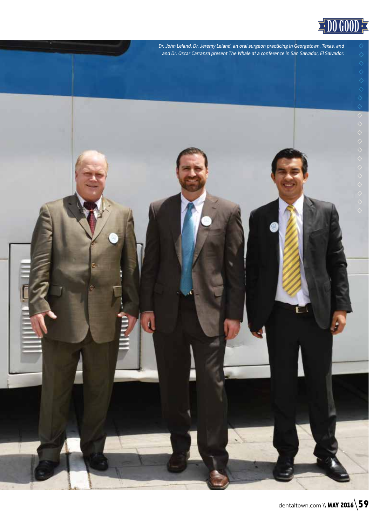## <u> 국 DO GOOD 논</u>

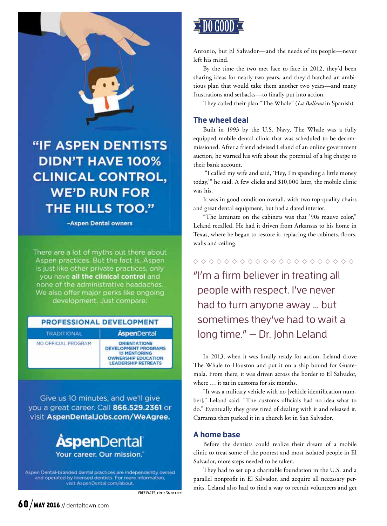

### "IF ASPEN DENTISTS **DIDN'T HAVE 100% CLINICAL CONTROL, WE'D RUN FOR THE HILLS TOO."**

-Aspen Dental owners

There are a lot of myths out there about Aspen practices. But the fact is, Aspen. is just like other private practices, only you have all the clinical control and none of the administrative headaches. We also offer major perks like ongoing development. Just compare:

#### PROFESSIONAL DEVELOPMENT

| <b><i>TRADITIONAL</i></b>                                                            | AspenDental                                                                                                                           |
|--------------------------------------------------------------------------------------|---------------------------------------------------------------------------------------------------------------------------------------|
| NO OFFICIAL PROGRAM<br>and the structure of the particle of the company of a support | <b>ORIENTATIONS</b><br><b>DEVELOPMENT PROGRAMS</b><br><b>11 MENTORING</b><br><b>OWNERSHIP EDUCATION</b><br><b>LEADERSHIP RETREATS</b> |

Give us 10 minutes, and we'll give you a great career. Call 866.529.2361 or visit AspenDentalJobs.com/WeAgree.



Aspen Dental-branded dental practices are independently owned and operated by licensed dentists. For more information, visit AspenDental.com/about.

FREE FACTS, circle 36 on card

Antonio, but El Salvador—and the needs of its people—never left his mind.

By the time the two met face to face in 2012, they'd been sharing ideas for nearly two years, and they'd hatched an ambitious plan that would take them another two years—and many frustrations and setbacks—to finally put into action.

They called their plan "The Whale" (*La Ballena* in Spanish).

#### **The wheel deal**

Built in 1993 by the U.S. Navy, The Whale was a fully equipped mobile dental clinic that was scheduled to be decommissioned. After a friend advised Leland of an online government auction, he warned his wife about the potential of a big charge to their bank account.

 "I called my wife and said, 'Hey, I'm spending a little money today,'" he said. A few clicks and \$10,000 later, the mobile clinic was his.

It was in good condition overall, with two top-quality chairs and great dental equipment, but had a dated interior.

"The laminate on the cabinets was that '90s mauve color," Leland recalled. He had it driven from Arkansas to his home in Texas, where he began to restore it, replacing the cabinets, floors, walls and ceiling.

"I'm a firm believer in treating all people with respect. I've never had to turn anyone away … but sometimes they've had to wait a long time." — Dr. John Leland

In 2013, when it was finally ready for action, Leland drove The Whale to Houston and put it on a ship bound for Guatemala. From there, it was driven across the border to El Salvador, where … it sat in customs for six months.

"It was a military vehicle with no [vehicle identification number]," Leland said. "The customs officials had no idea what to do." Eventually they grew tired of dealing with it and released it. Carranza then parked it in a church lot in San Salvador.

#### **A home base**

Before the dentists could realize their dream of a mobile clinic to treat some of the poorest and most isolated people in El Salvador, more steps needed to be taken.

They had to set up a charitable foundation in the U.S. and a parallel nonprofit in El Salvador, and acquire all necessary permits. Leland also had to find a way to recruit volunteers and get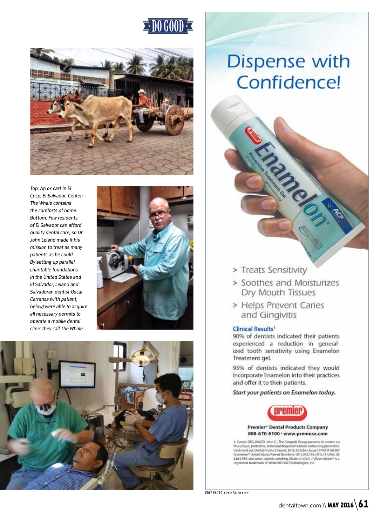



*Top: An ox cart in El Cuco, El Salvador. Center: The Whale contains the comforts of home. Bottom: Few residents of El Salvador can afford quality dental care, so Dr. John Leland made it his mission to treat as many patients as he could. By setting up parallel charitable foundations in the United States and El Salvador, Leland and Salvadoran dentist Oscar Carranza (with patient, below) were able to acquire all necessary permits to operate a mobile dental clinic they call The Whale.*





# **Dispense with** Confidence!

CONSIDERATION



- > Soothes and Moisturizes Dry Mouth Tissues
- > Helps Prevent Caries and Gingivitis

#### **Clinical Results'**

90% of dentists indicated their patients experienced a reduction in generalized tooth sensitivity using Enamelon Treatment gel.

95% of dentists indicated they would incorporate Enamelon into their practices and offer it to their patients.

Start your patients on Enamelon today.



Premier<sup>®</sup> Dental Products Company 888-670-6100 · www.premusa.com

1. Comini DDS, MAGD, John C., The Catapult Group presents its review on this unique, protective, remineralizing and moisture enhancing preventive<br>treatment gel, Dental Product Report, 2015, October, Issue 10 Vol. 9:68-69/<br>Enamelon® United States Patent Numbers: US 5,993,784, US 5,711,936, US 5,651,959 and other patents pending. Made in U.S.A. / Ultrait<br>registered trademark of WhiteHIII Oral Technologies, Inc.

FREE FACTS, circle 34 on card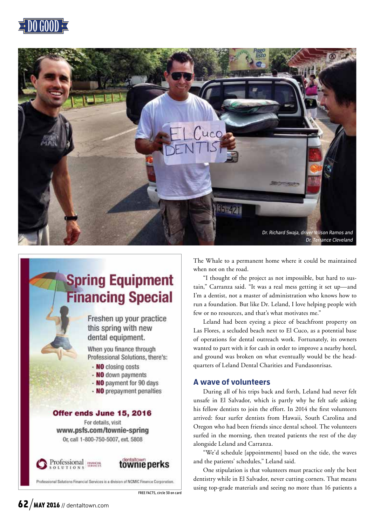



## **Spring Equipment Financing Special**

Freshen up your practice this spring with new dental equipment.

When you finance through Professional Solutions, there's:

- NO closing costs
- NO down payments
- . NO payment for 90 days
- · NO prepayment penalties

#### Offer ends June 15, 2016

For details, visit www.psfs.com/townie-spring Or, call 1-800-750-5007, ext. 5808





Professional Solutions Financial Services is a division of NCMIC Finance Corporation.

FREE FACTS, circle 30 on card

The Whale to a permanent home where it could be maintained when not on the road.

"I thought of the project as not impossible, but hard to sustain," Carranza said. "It was a real mess getting it set up—and I'm a dentist, not a master of administration who knows how to run a foundation. But like Dr. Leland, I love helping people with few or no resources, and that's what motivates me."

Leland had been eyeing a piece of beachfront property on Las Flores, a secluded beach next to El Cuco, as a potential base of operations for dental outreach work. Fortunately, its owners wanted to part with it for cash in order to improve a nearby hotel, and ground was broken on what eventually would be the headquarters of Leland Dental Charities and Fundasonrisas.

#### **A wave of volunteers**

During all of his trips back and forth, Leland had never felt unsafe in El Salvador, which is partly why he felt safe asking his fellow dentists to join the effort. In 2014 the first volunteers arrived: four surfer dentists from Hawaii, South Carolina and Oregon who had been friends since dental school. The volunteers surfed in the morning, then treated patients the rest of the day alongside Leland and Carranza.

"We'd schedule [appointments] based on the tide, the waves and the patients' schedules," Leland said.

One stipulation is that volunteers must practice only the best dentistry while in El Salvador, never cutting corners. That means using top-grade materials and seeing no more than 16 patients a